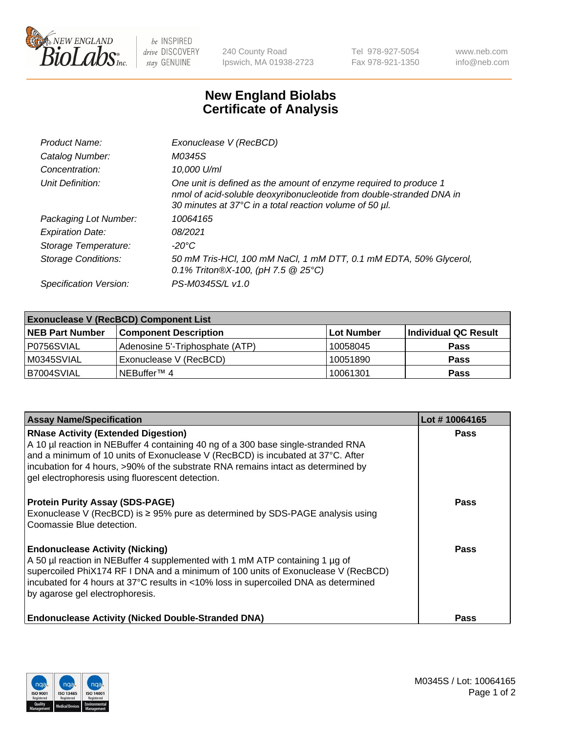

 $be$  INSPIRED drive DISCOVERY stay GENUINE

240 County Road Ipswich, MA 01938-2723 Tel 978-927-5054 Fax 978-921-1350 www.neb.com info@neb.com

## **New England Biolabs Certificate of Analysis**

| Product Name:              | Exonuclease V (RecBCD)                                                                                                                                                                               |
|----------------------------|------------------------------------------------------------------------------------------------------------------------------------------------------------------------------------------------------|
| Catalog Number:            | M0345S                                                                                                                                                                                               |
| Concentration:             | 10,000 U/ml                                                                                                                                                                                          |
| Unit Definition:           | One unit is defined as the amount of enzyme required to produce 1<br>nmol of acid-soluble deoxyribonucleotide from double-stranded DNA in<br>30 minutes at 37°C in a total reaction volume of 50 µl. |
| Packaging Lot Number:      | 10064165                                                                                                                                                                                             |
| <b>Expiration Date:</b>    | 08/2021                                                                                                                                                                                              |
| Storage Temperature:       | $-20^{\circ}$ C                                                                                                                                                                                      |
| <b>Storage Conditions:</b> | 50 mM Tris-HCl, 100 mM NaCl, 1 mM DTT, 0.1 mM EDTA, 50% Glycerol,<br>0.1% Triton®X-100, (pH 7.5 $@25°C$ )                                                                                            |
| Specification Version:     | PS-M0345S/L v1.0                                                                                                                                                                                     |

| <b>Exonuclease V (RecBCD) Component List</b> |                                 |                   |                      |  |
|----------------------------------------------|---------------------------------|-------------------|----------------------|--|
| <b>NEB Part Number</b>                       | <b>Component Description</b>    | <b>Lot Number</b> | Individual QC Result |  |
| P0756SVIAL                                   | Adenosine 5'-Triphosphate (ATP) | 10058045          | <b>Pass</b>          |  |
| IM0345SVIAL                                  | Exonuclease V (RecBCD)          | 10051890          | <b>Pass</b>          |  |
| <b>B7004SVIAL</b>                            | NEBuffer™ 4                     | 10061301          | <b>Pass</b>          |  |

| <b>Assay Name/Specification</b>                                                                                                                                                                                                                                                                                                                             | Lot #10064165 |
|-------------------------------------------------------------------------------------------------------------------------------------------------------------------------------------------------------------------------------------------------------------------------------------------------------------------------------------------------------------|---------------|
| <b>RNase Activity (Extended Digestion)</b><br>A 10 µl reaction in NEBuffer 4 containing 40 ng of a 300 base single-stranded RNA<br>and a minimum of 10 units of Exonuclease V (RecBCD) is incubated at 37°C. After<br>incubation for 4 hours, >90% of the substrate RNA remains intact as determined by<br>gel electrophoresis using fluorescent detection. | <b>Pass</b>   |
| <b>Protein Purity Assay (SDS-PAGE)</b><br>Exonuclease V (RecBCD) is $\geq$ 95% pure as determined by SDS-PAGE analysis using<br>Coomassie Blue detection.                                                                                                                                                                                                   | <b>Pass</b>   |
| <b>Endonuclease Activity (Nicking)</b><br>A 50 µl reaction in NEBuffer 4 supplemented with 1 mM ATP containing 1 µg of<br>supercoiled PhiX174 RF I DNA and a minimum of 100 units of Exonuclease V (RecBCD)<br>incubated for 4 hours at 37°C results in <10% loss in supercoiled DNA as determined<br>by agarose gel electrophoresis.                       | <b>Pass</b>   |
| <b>Endonuclease Activity (Nicked Double-Stranded DNA)</b>                                                                                                                                                                                                                                                                                                   | <b>Pass</b>   |